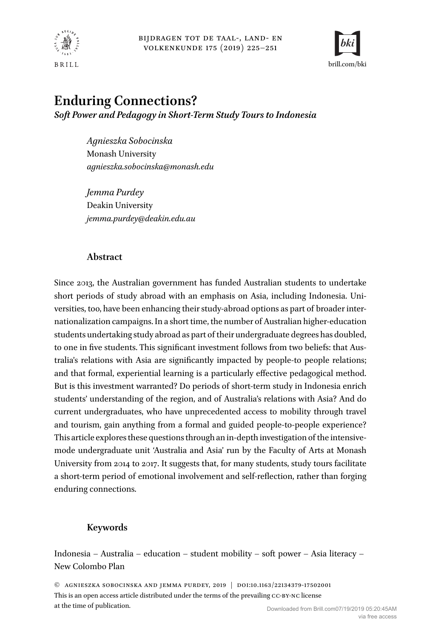



# **Enduring Connections?** *Soft Power and Pedagogy in Short-Term Study Tours to Indonesia*

*Agnieszka Sobocinska* Monash University *[agnieszka.sobocinska@monash.edu](mailto:agnieszka.sobocinska@monash.edu)*

*Jemma Purdey* Deakin University *[jemma.purdey@deakin.edu.au](mailto:jemma.purdey@deakin.edu.au)*

# **Abstract**

Since 2013, the Australian government has funded Australian students to undertake short periods of study abroad with an emphasis on Asia, including Indonesia. Universities, too, have been enhancing their study-abroad options as part of broader internationalization campaigns. In a short time, the number of Australian higher-education students undertaking study abroad as part of their undergraduate degrees has doubled, to one in five students. This significant investment follows from two beliefs: that Australia's relations with Asia are significantly impacted by people-to people relations; and that formal, experiential learning is a particularly effective pedagogical method. But is this investment warranted? Do periods of short-term study in Indonesia enrich students' understanding of the region, and of Australia's relations with Asia? And do current undergraduates, who have unprecedented access to mobility through travel and tourism, gain anything from a formal and guided people-to-people experience? This article explores these questions through an in-depth investigation of the intensivemode undergraduate unit 'Australia and Asia' run by the Faculty of Arts at Monash University from 2014 to 2017. It suggests that, for many students, study tours facilitate a short-term period of emotional involvement and self-reflection, rather than forging enduring connections.

# **Keywords**

Indonesia – Australia – education – student mobility – soft power – Asia literacy – New Colombo Plan

© agnieszka sobocinska and jemma purdey, 2019 | doi:10.1163/22134379-17502001 [This is an open access article distributed under the terms of the prevailing](https://creativecommons.org/licenses/by-nc/4.0/) CC-BY-NC license [at the time of publication.](https://creativecommons.org/licenses/by-nc/4.0/)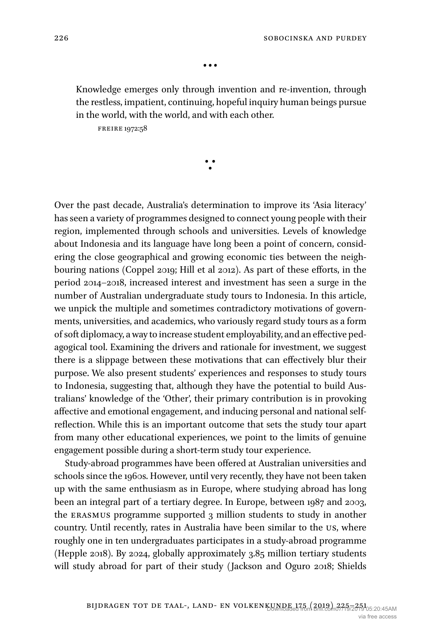…

Knowledge emerges only through invention and re-invention, through the restless, impatient, continuing, hopeful inquiry human beings pursue in the world, with the world, and with each other.

Freire 1972:58

∵

Over the past decade, Australia's determination to improve its 'Asia literacy' has seen a variety of programmes designed to connect young people with their region, implemented through schools and universities. Levels of knowledge about Indonesia and its language have long been a point of concern, considering the close geographical and growing economic ties between the neighbouring nations (Coppel 2019; Hill et al 2012). As part of these efforts, in the period 2014–2018, increased interest and investment has seen a surge in the number of Australian undergraduate study tours to Indonesia. In this article, we unpick the multiple and sometimes contradictory motivations of governments, universities, and academics, who variously regard study tours as a form of soft diplomacy, a way to increase student employability, and an effective pedagogical tool. Examining the drivers and rationale for investment, we suggest there is a slippage between these motivations that can effectively blur their purpose. We also present students' experiences and responses to study tours to Indonesia, suggesting that, although they have the potential to build Australians' knowledge of the 'Other', their primary contribution is in provoking affective and emotional engagement, and inducing personal and national selfreflection. While this is an important outcome that sets the study tour apart from many other educational experiences, we point to the limits of genuine engagement possible during a short-term study tour experience.

Study-abroad programmes have been offered at Australian universities and schools since the 1960s. However, until very recently, they have not been taken up with the same enthusiasm as in Europe, where studying abroad has long been an integral part of a tertiary degree. In Europe, between 1987 and 2003, the ERASMUS programme supported 3 million students to study in another country. Until recently, rates in Australia have been similar to the US, where roughly one in ten undergraduates participates in a study-abroad programme (Hepple 2018). By 2024, globally approximately 3.85 million tertiary students will study abroad for part of their study (Jackson and Oguro 2018; Shields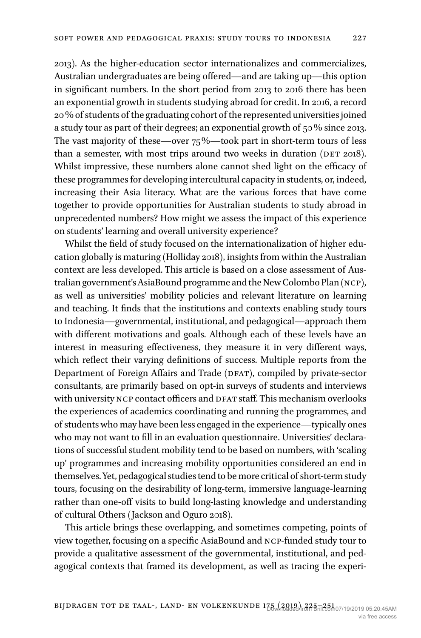2013). As the higher-education sector internationalizes and commercializes, Australian undergraduates are being offered—and are taking up—this option in significant numbers. In the short period from 2013 to 2016 there has been an exponential growth in students studying abroad for credit. In 2016, a record 20% of students of the graduating cohort of the represented universities joined a study tour as part of their degrees; an exponential growth of 50% since 2013. The vast majority of these—over 75%—took part in short-term tours of less than a semester, with most trips around two weeks in duration (DET 2018). Whilst impressive, these numbers alone cannot shed light on the efficacy of these programmes for developing intercultural capacity in students, or, indeed, increasing their Asia literacy. What are the various forces that have come together to provide opportunities for Australian students to study abroad in unprecedented numbers? How might we assess the impact of this experience on students' learning and overall university experience?

Whilst the field of study focused on the internationalization of higher education globally is maturing (Holliday 2018), insights from within the Australian context are less developed. This article is based on a close assessment of Australian government's AsiaBound programme and the New Colombo Plan (NCP), as well as universities' mobility policies and relevant literature on learning and teaching. It finds that the institutions and contexts enabling study tours to Indonesia—governmental, institutional, and pedagogical—approach them with different motivations and goals. Although each of these levels have an interest in measuring effectiveness, they measure it in very different ways, which reflect their varying definitions of success. Multiple reports from the Department of Foreign Affairs and Trade (DFAT), compiled by private-sector consultants, are primarily based on opt-in surveys of students and interviews with university NCP contact officers and DFAT staff. This mechanism overlooks the experiences of academics coordinating and running the programmes, and of students who may have been less engaged in the experience—typically ones who may not want to fill in an evaluation questionnaire. Universities' declarations of successful student mobility tend to be based on numbers, with 'scaling up' programmes and increasing mobility opportunities considered an end in themselves. Yet, pedagogical studies tend to be more critical of short-term study tours, focusing on the desirability of long-term, immersive language-learning rather than one-off visits to build long-lasting knowledge and understanding of cultural Others (Jackson and Oguro 2018).

This article brings these overlapping, and sometimes competing, points of view together, focusing on a specific AsiaBound and NCP-funded study tour to provide a qualitative assessment of the governmental, institutional, and pedagogical contexts that framed its development, as well as tracing the experi-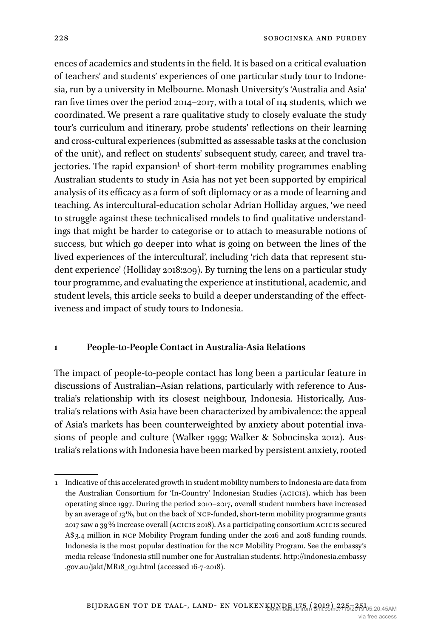ences of academics and students in the field. It is based on a critical evaluation of teachers' and students' experiences of one particular study tour to Indonesia, run by a university in Melbourne. Monash University's 'Australia and Asia' ran five times over the period 2014–2017, with a total of 114 students, which we coordinated. We present a rare qualitative study to closely evaluate the study tour's curriculum and itinerary, probe students' reflections on their learning and cross-cultural experiences (submitted as assessable tasks at the conclusion of the unit), and reflect on students' subsequent study, career, and travel tra- $\chi$  jectories. The rapid expansion<sup>1</sup> of short-term mobility programmes enabling Australian students to study in Asia has not yet been supported by empirical analysis of its efficacy as a form of soft diplomacy or as a mode of learning and teaching. As intercultural-education scholar Adrian Holliday argues, 'we need to struggle against these technicalised models to find qualitative understandings that might be harder to categorise or to attach to measurable notions of success, but which go deeper into what is going on between the lines of the lived experiences of the intercultural', including 'rich data that represent student experience' (Holliday 2018:209). By turning the lens on a particular study tour programme, and evaluating the experience at institutional, academic, and student levels, this article seeks to build a deeper understanding of the effectiveness and impact of study tours to Indonesia.

# **1 People-to-People Contact in Australia-Asia Relations**

The impact of people-to-people contact has long been a particular feature in discussions of Australian–Asian relations, particularly with reference to Australia's relationship with its closest neighbour, Indonesia. Historically, Australia's relations with Asia have been characterized by ambivalence: the appeal of Asia's markets has been counterweighted by anxiety about potential invasions of people and culture (Walker 1999; Walker & Sobocinska 2012). Australia's relations with Indonesia have been marked by persistent anxiety, rooted

<sup>1</sup> Indicative of this accelerated growth in student mobility numbers to Indonesia are data from the Australian Consortium for 'In-Country' Indonesian Studies (ACICIS), which has been operating since 1997. During the period 2010–2017, overall student numbers have increased by an average of 13%, but on the back of NCP-funded, short-term mobility programme grants 2017 saw a 39% increase overall (ACICIS 2018). As a participating consortium ACICIS secured A\$3.4 million in NCP Mobility Program funding under the 2016 and 2018 funding rounds. Indonesia is the most popular destination for the NCP Mobility Program. See the embassy's media release 'Indonesia still number one for Australian students'. [http://indonesia.embassy](http://indonesia.embassy.gov.au/jakt/MR18_031.html) [.gov.au/jakt/MR18\\_031.html](http://indonesia.embassy.gov.au/jakt/MR18_031.html) (accessed 16-7-2018).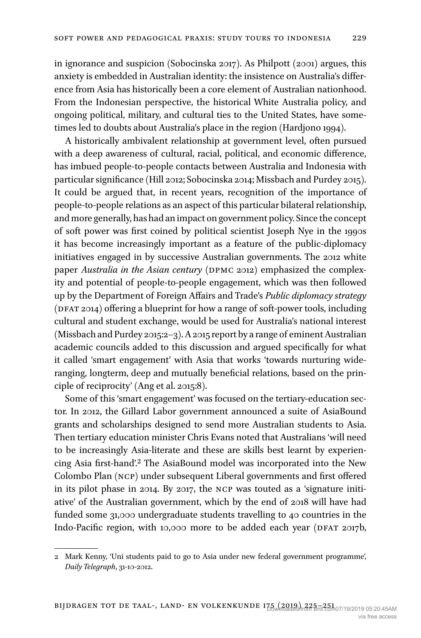in ignorance and suspicion (Sobocinska 2017). As Philpott (2001) argues, this anxiety is embedded in Australian identity: the insistence on Australia's difference from Asia has historically been a core element of Australian nationhood. From the Indonesian perspective, the historical White Australia policy, and ongoing political, military, and cultural ties to the United States, have sometimes led to doubts about Australia's place in the region (Hardjono 1994).

A historically ambivalent relationship at government level, often pursued with a deep awareness of cultural, racial, political, and economic difference, has imbued people-to-people contacts between Australia and Indonesia with particular significance (Hill 2012; Sobocinska 2014; Missbach and Purdey 2015). It could be argued that, in recent years, recognition of the importance of people-to-people relations as an aspect of this particular bilateral relationship, and more generally, has had an impact on government policy. Since the concept of soft power was first coined by political scientist Joseph Nye in the 1990s it has become increasingly important as a feature of the public-diplomacy initiatives engaged in by successive Australian governments. The 2012 white paper *Australia in the Asian century* (DPMC 2012) emphasized the complexity and potential of people-to-people engagement, which was then followed up by the Department of Foreign Affairs and Trade's *Public diplomacy strategy* (DFAT 2014) offering a blueprint for how a range of soft-power tools, including cultural and student exchange, would be used for Australia's national interest (Missbach and Purdey 2015:2–3). A 2015 report by a range of eminent Australian academic councils added to this discussion and argued specifically for what it called 'smart engagement' with Asia that works 'towards nurturing wideranging, longterm, deep and mutually beneficial relations, based on the principle of reciprocity' (Ang et al. 2015:8).

Some of this 'smart engagement' was focused on the tertiary-education sector. In 2012, the Gillard Labor government announced a suite of AsiaBound grants and scholarships designed to send more Australian students to Asia. Then tertiary education minister Chris Evans noted that Australians 'will need to be increasingly Asia-literate and these are skills best learnt by experiencing Asia first-hand'.2 The AsiaBound model was incorporated into the New Colombo Plan (NCP) under subsequent Liberal governments and first offered in its pilot phase in 2014. By 2017, the NCP was touted as a 'signature initiative' of the Australian government, which by the end of 2018 will have had funded some 31,000 undergraduate students travelling to 40 countries in the Indo-Pacific region, with 10,000 more to be added each year (DFAT 2017b,

<sup>2</sup> Mark Kenny, 'Uni students paid to go to Asia under new federal government programme', *Daily Telegraph*, 31-10-2012.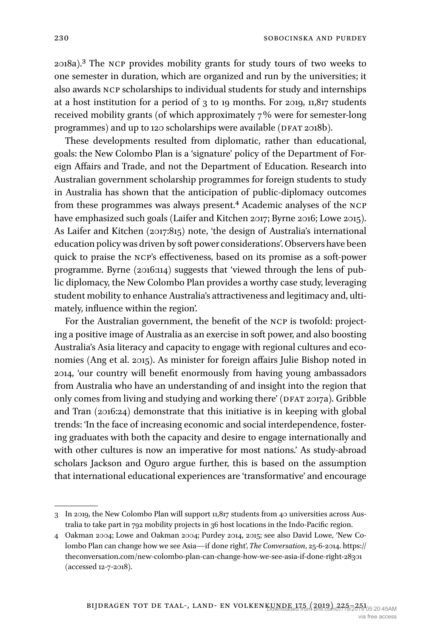2018a).3 The NCP provides mobility grants for study tours of two weeks to one semester in duration, which are organized and run by the universities; it also awards NCP scholarships to individual students for study and internships at a host institution for a period of  $3$  to 19 months. For 2019, 11,817 students received mobility grants (of which approximately 7% were for semester-long programmes) and up to 120 scholarships were available (DFAT 2018b).

These developments resulted from diplomatic, rather than educational, goals: the New Colombo Plan is a 'signature' policy of the Department of Foreign Affairs and Trade, and not the Department of Education. Research into Australian government scholarship programmes for foreign students to study in Australia has shown that the anticipation of public-diplomacy outcomes from these programmes was always present.<sup>4</sup> Academic analyses of the NCP have emphasized such goals (Laifer and Kitchen 2017; Byrne 2016; Lowe 2015). As Laifer and Kitchen (2017:815) note, 'the design of Australia's international education policy was driven by soft power considerations'. Observers have been quick to praise the NCP's effectiveness, based on its promise as a soft-power programme. Byrne (2016:114) suggests that 'viewed through the lens of public diplomacy, the New Colombo Plan provides a worthy case study, leveraging student mobility to enhance Australia's attractiveness and legitimacy and, ultimately, influence within the region'.

For the Australian government, the benefit of the NCP is twofold: projecting a positive image of Australia as an exercise in soft power, and also boosting Australia's Asia literacy and capacity to engage with regional cultures and economies (Ang et al. 2015). As minister for foreign affairs Julie Bishop noted in 2014, 'our country will benefit enormously from having young ambassadors from Australia who have an understanding of and insight into the region that only comes from living and studying and working there' (DFAT 2017a). Gribble and Tran (2016:24) demonstrate that this initiative is in keeping with global trends: 'In the face of increasing economic and social interdependence, fostering graduates with both the capacity and desire to engage internationally and with other cultures is now an imperative for most nations.' As study-abroad scholars Jackson and Oguro argue further, this is based on the assumption that international educational experiences are 'transformative' and encourage

<sup>3</sup> In 2019, the New Colombo Plan will support 11,817 students from 40 universities across Australia to take part in 792 mobility projects in 36 host locations in the Indo-Pacific region.

<sup>4</sup> Oakman 2004; Lowe and Oakman 2004; Purdey 2014, 2015; see also David Lowe, 'New Colombo Plan can change how we see Asia—if done right', *The Conversation*, 25-6-2014. [https://](https://theconversation.com/new-colombo-plan-can-change-how-we-see-asia-if-done-right-28301) theconversation.com/new‐colombo‐plan‐can‐change‐how‐we‐see‐asia‐if‐done‐right‐28301 (accessed 12-7-2018).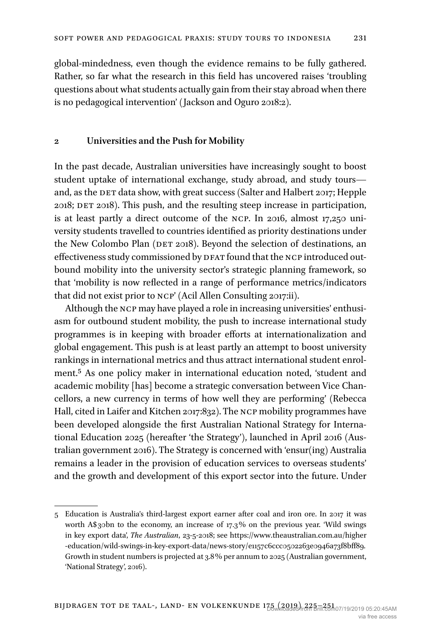global-mindedness, even though the evidence remains to be fully gathered. Rather, so far what the research in this field has uncovered raises 'troubling questions about what students actually gain from their stay abroad when there is no pedagogical intervention' (Jackson and Oguro 2018:2).

# **2 Universities and the Push for Mobility**

In the past decade, Australian universities have increasingly sought to boost student uptake of international exchange, study abroad, and study tours and, as the DET data show, with great success (Salter and Halbert 2017; Hepple 2018; DET 2018). This push, and the resulting steep increase in participation, is at least partly a direct outcome of the NCP. In 2016, almost 17,250 university students travelled to countries identified as priority destinations under the New Colombo Plan (DET 2018). Beyond the selection of destinations, an effectiveness study commissioned by DFAT found that the NCP introduced outbound mobility into the university sector's strategic planning framework, so that 'mobility is now reflected in a range of performance metrics/indicators that did not exist prior to NCP' (Acil Allen Consulting 2017:ii).

Although the NCP may have played a role in increasing universities' enthusiasm for outbound student mobility, the push to increase international study programmes is in keeping with broader efforts at internationalization and global engagement. This push is at least partly an attempt to boost university rankings in international metrics and thus attract international student enrolment.5 As one policy maker in international education noted, 'student and academic mobility [has] become a strategic conversation between Vice Chancellors, a new currency in terms of how well they are performing' (Rebecca Hall, cited in Laifer and Kitchen 2017:832). The NCP mobility programmes have been developed alongside the first Australian National Strategy for International Education 2025 (hereafter 'the Strategy'), launched in April 2016 (Australian government 2016). The Strategy is concerned with 'ensur(ing) Australia remains a leader in the provision of education services to overseas students' and the growth and development of this export sector into the future. Under

<sup>5</sup> Education is Australia's third-largest export earner after coal and iron ore. In 2017 it was worth A\$30bn to the economy, an increase of 17.3% on the previous year. 'Wild swings in key export data', *The Australian*, 23-5-2018; see [https://www.theaustralian.com.au/higher](https://www.theaustralian.com.au/higher-education/wild-swings-in-key-export-data/news-story/e1157c6ccc0502263e0946a73f8bff89) [‑education/wild‑swings‑in‑key‑export‑data/news‑story/e1157c6ccc0502263e0946a73f8bff89](https://www.theaustralian.com.au/higher-education/wild-swings-in-key-export-data/news-story/e1157c6ccc0502263e0946a73f8bff89). Growth in student numbers is projected at 3.8% per annum to 2025 (Australian government, 'National Strategy', 2016).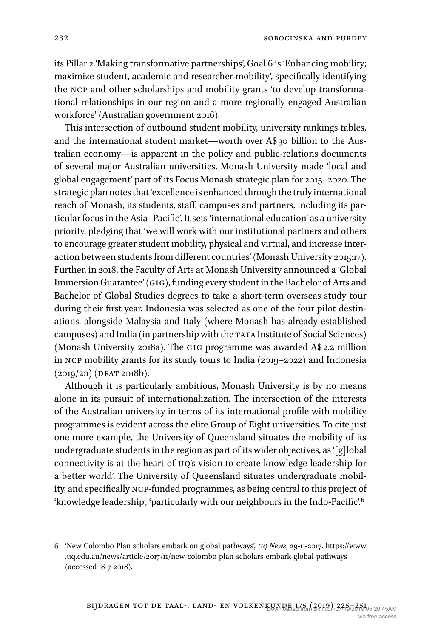its Pillar 2 'Making transformative partnerships', Goal 6 is 'Enhancing mobility; maximize student, academic and researcher mobility', specifically identifying the NCP and other scholarships and mobility grants 'to develop transformational relationships in our region and a more regionally engaged Australian workforce' (Australian government 2016).

This intersection of outbound student mobility, university rankings tables, and the international student market—worth over A\$30 billion to the Australian economy—is apparent in the policy and public-relations documents of several major Australian universities. Monash University made 'local and global engagement' part of its Focus Monash strategic plan for 2015–2020. The strategic plan notes that 'excellence is enhanced through the truly international reach of Monash, its students, staff, campuses and partners, including its particular focus in the Asia–Pacific'. It sets 'international education' as a university priority, pledging that 'we will work with our institutional partners and others to encourage greater student mobility, physical and virtual, and increase interaction between students from different countries' (Monash University 2015:17). Further, in 2018, the Faculty of Arts at Monash University announced a 'Global Immersion Guarantee' (GIG), funding every student in the Bachelor of Arts and Bachelor of Global Studies degrees to take a short-term overseas study tour during their first year. Indonesia was selected as one of the four pilot destinations, alongside Malaysia and Italy (where Monash has already established campuses) and India (in partnership with the TATA Institute of Social Sciences) (Monash University 2018a). The GIG programme was awarded A\$2.2 million in NCP mobility grants for its study tours to India (2019–2022) and Indonesia (2019/20) (DFAT 2018b).

Although it is particularly ambitious, Monash University is by no means alone in its pursuit of internationalization. The intersection of the interests of the Australian university in terms of its international profile with mobility programmes is evident across the elite Group of Eight universities. To cite just one more example, the University of Queensland situates the mobility of its undergraduate students in the region as part of its wider objectives, as '[g]lobal connectivity is at the heart of UQ's vision to create knowledge leadership for a better world'. The University of Queensland situates undergraduate mobility, and specifically NCP-funded programmes, as being central to this project of 'knowledge leadership', 'particularly with our neighbours in the Indo-Pacific'.6

<sup>6</sup> 'New Colombo Plan scholars embark on global pathways', *UQ News*, 29-11-2017. [https://www](https://www.uq.edu.au/news/article/2017/11/new-colombo-plan-scholars-embark-global-pathways) [.uq.edu.au/news/article/2017/11/new‑colombo‑plan‑scholars‑embark‑global‑pathways](https://www.uq.edu.au/news/article/2017/11/new-colombo-plan-scholars-embark-global-pathways) (accessed 18-7-2018).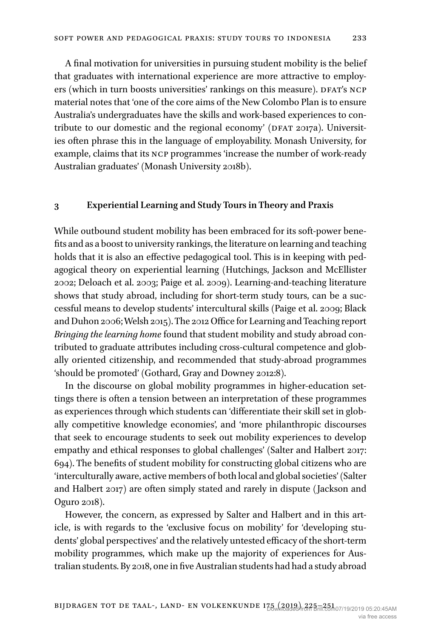A final motivation for universities in pursuing student mobility is the belief that graduates with international experience are more attractive to employers (which in turn boosts universities' rankings on this measure). DFAT's NCP material notes that 'one of the core aims of the New Colombo Plan is to ensure Australia's undergraduates have the skills and work-based experiences to contribute to our domestic and the regional economy' (DFAT 2017a). Universities often phrase this in the language of employability. Monash University, for example, claims that its NCP programmes 'increase the number of work-ready Australian graduates' (Monash University 2018b).

#### **3 Experiential Learning and Study Tours in Theory and Praxis**

While outbound student mobility has been embraced for its soft-power benefits and as a boost to university rankings, the literature on learning and teaching holds that it is also an effective pedagogical tool. This is in keeping with pedagogical theory on experiential learning (Hutchings, Jackson and McEllister 2002; Deloach et al. 2003; Paige et al. 2009). Learning-and-teaching literature shows that study abroad, including for short-term study tours, can be a successful means to develop students' intercultural skills (Paige et al. 2009; Black and Duhon 2006;Welsh 2015). The 2012 Office for Learning and Teaching report *Bringing the learning home* found that student mobility and study abroad contributed to graduate attributes including cross-cultural competence and globally oriented citizenship, and recommended that study-abroad programmes 'should be promoted' (Gothard, Gray and Downey 2012:8).

In the discourse on global mobility programmes in higher-education settings there is often a tension between an interpretation of these programmes as experiences through which students can 'differentiate their skill set in globally competitive knowledge economies', and 'more philanthropic discourses that seek to encourage students to seek out mobility experiences to develop empathy and ethical responses to global challenges' (Salter and Halbert 2017: 694). The benefits of student mobility for constructing global citizens who are 'interculturally aware, active members of both local and global societies' (Salter and Halbert 2017) are often simply stated and rarely in dispute (Jackson and Oguro 2018).

However, the concern, as expressed by Salter and Halbert and in this article, is with regards to the 'exclusive focus on mobility' for 'developing students' global perspectives' and the relatively untested efficacy of the short-term mobility programmes, which make up the majority of experiences for Australian students. By 2018, one in five Australian students had had a study abroad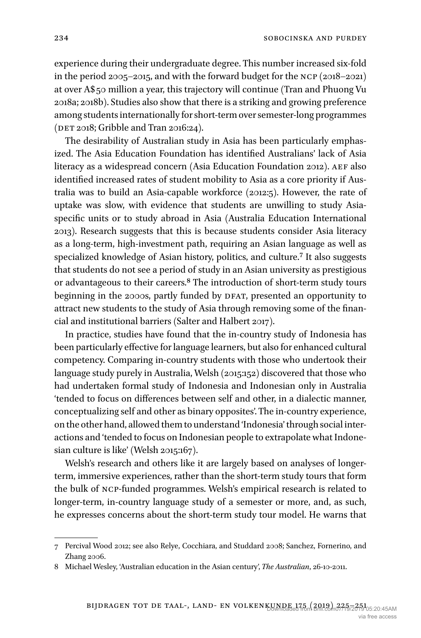experience during their undergraduate degree. This number increased six-fold in the period 2005–2015, and with the forward budget for the NCP (2018–2021) at over A\$50 million a year, this trajectory will continue (Tran and Phuong Vu 2018a; 2018b). Studies also show that there is a striking and growing preference among students internationally for short-term over semester-long programmes (DET 2018; Gribble and Tran 2016:24).

The desirability of Australian study in Asia has been particularly emphasized. The Asia Education Foundation has identified Australians' lack of Asia literacy as a widespread concern (Asia Education Foundation 2012). AEF also identified increased rates of student mobility to Asia as a core priority if Australia was to build an Asia-capable workforce (2012:5). However, the rate of uptake was slow, with evidence that students are unwilling to study Asiaspecific units or to study abroad in Asia (Australia Education International 2013). Research suggests that this is because students consider Asia literacy as a long-term, high-investment path, requiring an Asian language as well as specialized knowledge of Asian history, politics, and culture.<sup>7</sup> It also suggests that students do not see a period of study in an Asian university as prestigious or advantageous to their careers.<sup>8</sup> The introduction of short-term study tours beginning in the 2000s, partly funded by DFAT, presented an opportunity to attract new students to the study of Asia through removing some of the financial and institutional barriers (Salter and Halbert 2017).

In practice, studies have found that the in-country study of Indonesia has been particularly effective for language learners, but also for enhanced cultural competency. Comparing in-country students with those who undertook their language study purely in Australia, Welsh (2015:152) discovered that those who had undertaken formal study of Indonesia and Indonesian only in Australia 'tended to focus on differences between self and other, in a dialectic manner, conceptualizing self and other as binary opposites'. The in-country experience, on the other hand, allowed them to understand 'Indonesia' through social interactions and 'tended to focus on Indonesian people to extrapolate what Indonesian culture is like' (Welsh 2015:167).

Welsh's research and others like it are largely based on analyses of longerterm, immersive experiences, rather than the short-term study tours that form the bulk of NCP-funded programmes. Welsh's empirical research is related to longer-term, in-country language study of a semester or more, and, as such, he expresses concerns about the short-term study tour model. He warns that

<sup>7</sup> Percival Wood 2012; see also Relye, Cocchiara, and Studdard 2008; Sanchez, Fornerino, and Zhang 2006.

<sup>8</sup> Michael Wesley, 'Australian education in the Asian century', *The Australian*, 26-10-2011.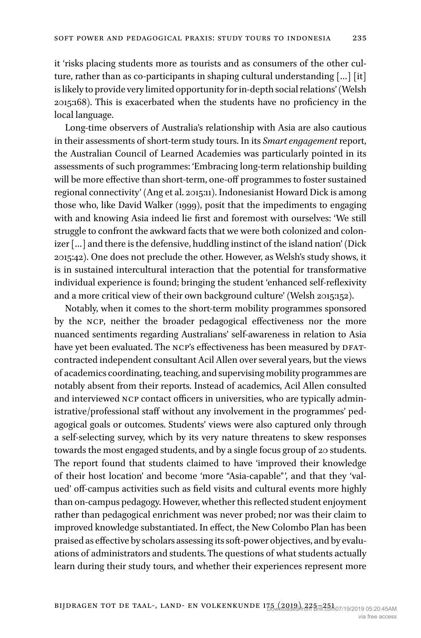it 'risks placing students more as tourists and as consumers of the other culture, rather than as co-participants in shaping cultural understanding […] [it] is likely to provide very limited opportunity for in-depth social relations' (Welsh 2015:168). This is exacerbated when the students have no proficiency in the local language.

Long-time observers of Australia's relationship with Asia are also cautious in their assessments of short-term study tours. In its *Smart engagement* report, the Australian Council of Learned Academies was particularly pointed in its assessments of such programmes: 'Embracing long-term relationship building will be more effective than short-term, one-off programmes to foster sustained regional connectivity' (Ang et al. 2015:11). Indonesianist Howard Dick is among those who, like David Walker (1999), posit that the impediments to engaging with and knowing Asia indeed lie first and foremost with ourselves: 'We still struggle to confront the awkward facts that we were both colonized and colonizer […] and there is the defensive, huddling instinct of the island nation' (Dick 2015:42). One does not preclude the other. However, as Welsh's study shows, it is in sustained intercultural interaction that the potential for transformative individual experience is found; bringing the student 'enhanced self-reflexivity and a more critical view of their own background culture' (Welsh 2015:152).

Notably, when it comes to the short-term mobility programmes sponsored by the NCP, neither the broader pedagogical effectiveness nor the more nuanced sentiments regarding Australians' self-awareness in relation to Asia have yet been evaluated. The NCP's effectiveness has been measured by DFATcontracted independent consultant Acil Allen over several years, but the views of academics coordinating, teaching, and supervising mobility programmes are notably absent from their reports. Instead of academics, Acil Allen consulted and interviewed NCP contact officers in universities, who are typically administrative/professional staff without any involvement in the programmes' pedagogical goals or outcomes. Students' views were also captured only through a self-selecting survey, which by its very nature threatens to skew responses towards the most engaged students, and by a single focus group of 20 students. The report found that students claimed to have 'improved their knowledge of their host location' and become 'more "Asia-capable"', and that they 'valued' off-campus activities such as field visits and cultural events more highly than on-campus pedagogy. However, whether this reflected student enjoyment rather than pedagogical enrichment was never probed; nor was their claim to improved knowledge substantiated. In effect, the New Colombo Plan has been praised as effective by scholars assessing its soft-power objectives, and by evaluations of administrators and students. The questions of what students actually learn during their study tours, and whether their experiences represent more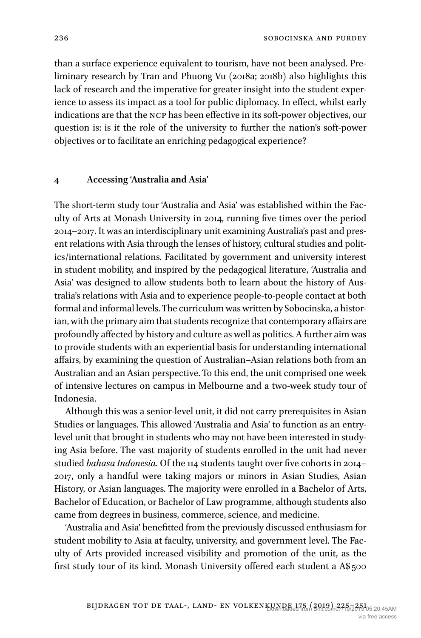than a surface experience equivalent to tourism, have not been analysed. Preliminary research by Tran and Phuong Vu (2018a; 2018b) also highlights this lack of research and the imperative for greater insight into the student experience to assess its impact as a tool for public diplomacy. In effect, whilst early indications are that the NCP has been effective in its soft-power objectives, our question is: is it the role of the university to further the nation's soft-power objectives or to facilitate an enriching pedagogical experience?

#### **4 Accessing 'Australia and Asia'**

The short-term study tour 'Australia and Asia' was established within the Faculty of Arts at Monash University in 2014, running five times over the period 2014–2017. It was an interdisciplinary unit examining Australia's past and present relations with Asia through the lenses of history, cultural studies and politics/international relations. Facilitated by government and university interest in student mobility, and inspired by the pedagogical literature, 'Australia and Asia' was designed to allow students both to learn about the history of Australia's relations with Asia and to experience people-to-people contact at both formal and informal levels. The curriculum was written by Sobocinska, a historian, with the primary aim that students recognize that contemporary affairs are profoundly affected by history and culture as well as politics. A further aim was to provide students with an experiential basis for understanding international affairs, by examining the question of Australian–Asian relations both from an Australian and an Asian perspective. To this end, the unit comprised one week of intensive lectures on campus in Melbourne and a two-week study tour of Indonesia.

Although this was a senior-level unit, it did not carry prerequisites in Asian Studies or languages. This allowed 'Australia and Asia' to function as an entrylevel unit that brought in students who may not have been interested in studying Asia before. The vast majority of students enrolled in the unit had never studied *bahasa Indonesia*. Of the 114 students taught over five cohorts in 2014– 2017, only a handful were taking majors or minors in Asian Studies, Asian History, or Asian languages. The majority were enrolled in a Bachelor of Arts, Bachelor of Education, or Bachelor of Law programme, although students also came from degrees in business, commerce, science, and medicine.

'Australia and Asia' benefitted from the previously discussed enthusiasm for student mobility to Asia at faculty, university, and government level. The Faculty of Arts provided increased visibility and promotion of the unit, as the first study tour of its kind. Monash University offered each student a A\$500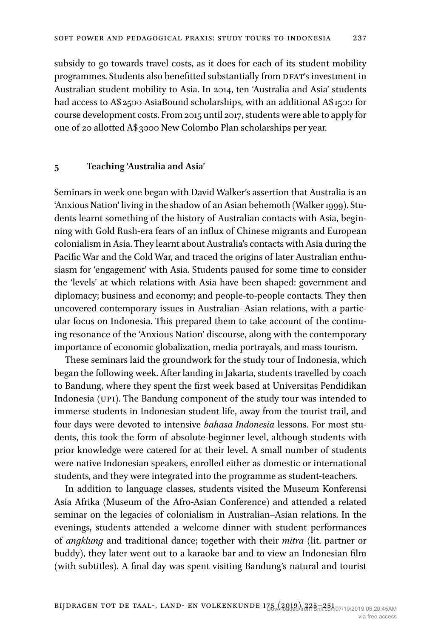subsidy to go towards travel costs, as it does for each of its student mobility programmes. Students also benefitted substantially from DFAT's investment in Australian student mobility to Asia. In 2014, ten 'Australia and Asia' students had access to A\$2500 AsiaBound scholarships, with an additional A\$1500 for course development costs. From 2015 until 2017, students were able to apply for one of 20 allotted A\$3000 New Colombo Plan scholarships per year.

#### **5 Teaching 'Australia and Asia'**

Seminars in week one began with David Walker's assertion that Australia is an 'Anxious Nation' living in the shadow of an Asian behemoth (Walker 1999). Students learnt something of the history of Australian contacts with Asia, beginning with Gold Rush-era fears of an influx of Chinese migrants and European colonialism in Asia. They learnt about Australia's contacts with Asia during the Pacific War and the Cold War, and traced the origins of later Australian enthusiasm for 'engagement' with Asia. Students paused for some time to consider the 'levels' at which relations with Asia have been shaped: government and diplomacy; business and economy; and people-to-people contacts. They then uncovered contemporary issues in Australian–Asian relations, with a particular focus on Indonesia. This prepared them to take account of the continuing resonance of the 'Anxious Nation' discourse, along with the contemporary importance of economic globalization, media portrayals, and mass tourism.

These seminars laid the groundwork for the study tour of Indonesia, which began the following week. After landing in Jakarta, students travelled by coach to Bandung, where they spent the first week based at Universitas Pendidikan Indonesia (UPI). The Bandung component of the study tour was intended to immerse students in Indonesian student life, away from the tourist trail, and four days were devoted to intensive *bahasa Indonesia* lessons. For most students, this took the form of absolute-beginner level, although students with prior knowledge were catered for at their level. A small number of students were native Indonesian speakers, enrolled either as domestic or international students, and they were integrated into the programme as student-teachers.

In addition to language classes, students visited the Museum Konferensi Asia Afrika (Museum of the Afro-Asian Conference) and attended a related seminar on the legacies of colonialism in Australian–Asian relations. In the evenings, students attended a welcome dinner with student performances of *angklung* and traditional dance; together with their *mitra* (lit. partner or buddy), they later went out to a karaoke bar and to view an Indonesian film (with subtitles). A final day was spent visiting Bandung's natural and tourist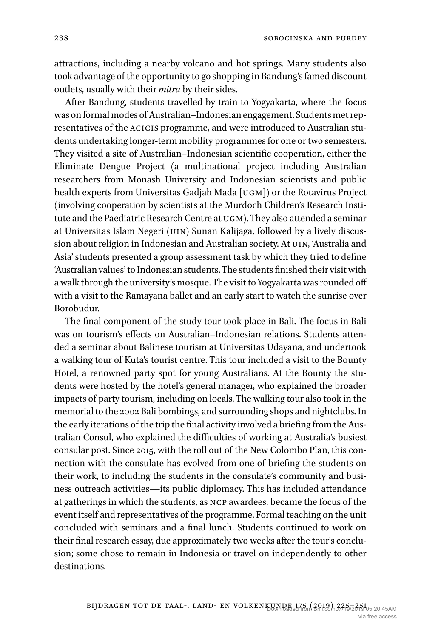238 sobocinska and purdey sobocinska and purdey

attractions, including a nearby volcano and hot springs. Many students also took advantage of the opportunity to go shopping in Bandung's famed discount outlets, usually with their *mitra* by their sides.

After Bandung, students travelled by train to Yogyakarta, where the focus was on formal modes of Australian–Indonesian engagement. Students met representatives of the ACICIS programme, and were introduced to Australian students undertaking longer-term mobility programmes for one or two semesters. They visited a site of Australian–Indonesian scientific cooperation, either the Eliminate Dengue Project (a multinational project including Australian researchers from Monash University and Indonesian scientists and public health experts from Universitas Gadjah Mada [UGM]) or the Rotavirus Project (involving cooperation by scientists at the Murdoch Children's Research Institute and the Paediatric Research Centre at UGM). They also attended a seminar at Universitas Islam Negeri (UIN) Sunan Kalijaga, followed by a lively discussion about religion in Indonesian and Australian society. At UIN, 'Australia and Asia' students presented a group assessment task by which they tried to define 'Australian values' to Indonesian students. The students finished their visit with a walk through the university's mosque. The visit to Yogyakarta was rounded off with a visit to the Ramayana ballet and an early start to watch the sunrise over Borobudur.

The final component of the study tour took place in Bali. The focus in Bali was on tourism's effects on Australian–Indonesian relations. Students attended a seminar about Balinese tourism at Universitas Udayana, and undertook a walking tour of Kuta's tourist centre. This tour included a visit to the Bounty Hotel, a renowned party spot for young Australians. At the Bounty the students were hosted by the hotel's general manager, who explained the broader impacts of party tourism, including on locals. The walking tour also took in the memorial to the 2002 Bali bombings, and surrounding shops and nightclubs. In the early iterations of the trip the final activity involved a briefing from the Australian Consul, who explained the difficulties of working at Australia's busiest consular post. Since 2015, with the roll out of the New Colombo Plan, this connection with the consulate has evolved from one of briefing the students on their work, to including the students in the consulate's community and business outreach activities—its public diplomacy. This has included attendance at gatherings in which the students, as NCP awardees, became the focus of the event itself and representatives of the programme. Formal teaching on the unit concluded with seminars and a final lunch. Students continued to work on their final research essay, due approximately two weeks after the tour's conclusion; some chose to remain in Indonesia or travel on independently to other destinations.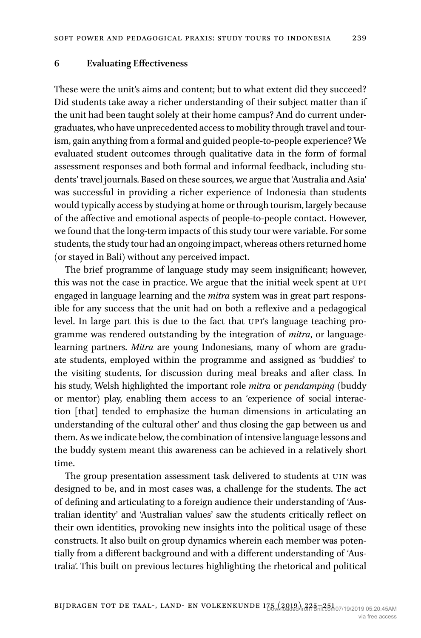# **6 Evaluating Effectiveness**

These were the unit's aims and content; but to what extent did they succeed? Did students take away a richer understanding of their subject matter than if the unit had been taught solely at their home campus? And do current undergraduates, who have unprecedented access to mobility through travel and tourism, gain anything from a formal and guided people-to-people experience? We evaluated student outcomes through qualitative data in the form of formal assessment responses and both formal and informal feedback, including students' travel journals. Based on these sources, we argue that 'Australia and Asia' was successful in providing a richer experience of Indonesia than students would typically access by studying at home or through tourism, largely because of the affective and emotional aspects of people-to-people contact. However, we found that the long-term impacts of this study tour were variable. For some students, the study tour had an ongoing impact, whereas others returned home (or stayed in Bali) without any perceived impact.

The brief programme of language study may seem insignificant; however, this was not the case in practice. We argue that the initial week spent at UPI engaged in language learning and the *mitra* system was in great part responsible for any success that the unit had on both a reflexive and a pedagogical level. In large part this is due to the fact that UPI's language teaching programme was rendered outstanding by the integration of *mitra*, or languagelearning partners. *Mitra* are young Indonesians, many of whom are graduate students, employed within the programme and assigned as 'buddies' to the visiting students, for discussion during meal breaks and after class. In his study, Welsh highlighted the important role *mitra* or *pendamping* (buddy or mentor) play, enabling them access to an 'experience of social interaction [that] tended to emphasize the human dimensions in articulating an understanding of the cultural other' and thus closing the gap between us and them. As we indicate below, the combination of intensive language lessons and the buddy system meant this awareness can be achieved in a relatively short time.

The group presentation assessment task delivered to students at UIN was designed to be, and in most cases was, a challenge for the students. The act of defining and articulating to a foreign audience their understanding of 'Australian identity' and 'Australian values' saw the students critically reflect on their own identities, provoking new insights into the political usage of these constructs. It also built on group dynamics wherein each member was potentially from a different background and with a different understanding of 'Australia'. This built on previous lectures highlighting the rhetorical and political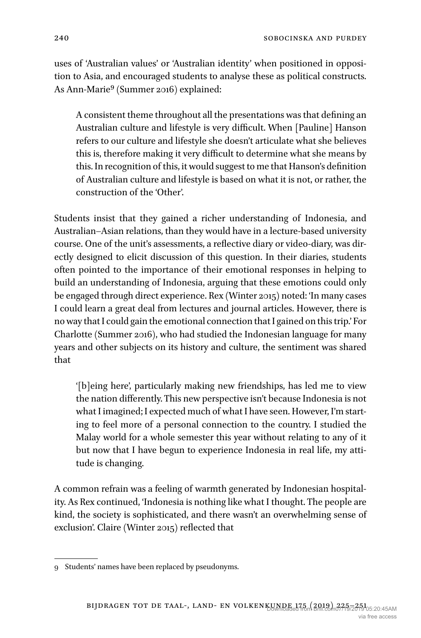uses of 'Australian values' or 'Australian identity' when positioned in opposition to Asia, and encouraged students to analyse these as political constructs. As Ann-Marie9 (Summer 2016) explained:

A consistent theme throughout all the presentations was that defining an Australian culture and lifestyle is very difficult. When [Pauline] Hanson refers to our culture and lifestyle she doesn't articulate what she believes this is, therefore making it very difficult to determine what she means by this. In recognition of this, it would suggest to me that Hanson's definition of Australian culture and lifestyle is based on what it is not, or rather, the construction of the 'Other'.

Students insist that they gained a richer understanding of Indonesia, and Australian–Asian relations, than they would have in a lecture-based university course. One of the unit's assessments, a reflective diary or video-diary, was directly designed to elicit discussion of this question. In their diaries, students often pointed to the importance of their emotional responses in helping to build an understanding of Indonesia, arguing that these emotions could only be engaged through direct experience. Rex (Winter 2015) noted: 'In many cases I could learn a great deal from lectures and journal articles. However, there is no way that I could gain the emotional connection that I gained on this trip.' For Charlotte (Summer 2016), who had studied the Indonesian language for many years and other subjects on its history and culture, the sentiment was shared that

'[b]eing here', particularly making new friendships, has led me to view the nation differently. This new perspective isn't because Indonesia is not what I imagined; I expected much of what I have seen. However, I'm starting to feel more of a personal connection to the country. I studied the Malay world for a whole semester this year without relating to any of it but now that I have begun to experience Indonesia in real life, my attitude is changing.

A common refrain was a feeling of warmth generated by Indonesian hospitality. As Rex continued, 'Indonesia is nothing like what I thought. The people are kind, the society is sophisticated, and there wasn't an overwhelming sense of exclusion'. Claire (Winter 2015) reflected that

<sup>9</sup> Students' names have been replaced by pseudonyms.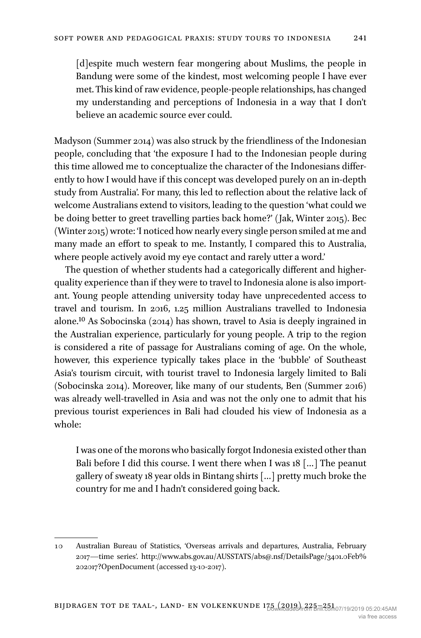[d]espite much western fear mongering about Muslims, the people in Bandung were some of the kindest, most welcoming people I have ever met. This kind of raw evidence, people-people relationships, has changed my understanding and perceptions of Indonesia in a way that I don't believe an academic source ever could.

Madyson (Summer 2014) was also struck by the friendliness of the Indonesian people, concluding that 'the exposure I had to the Indonesian people during this time allowed me to conceptualize the character of the Indonesians differently to how I would have if this concept was developed purely on an in-depth study from Australia'. For many, this led to reflection about the relative lack of welcome Australians extend to visitors, leading to the question 'what could we be doing better to greet travelling parties back home?' (Jak, Winter 2015). Bec (Winter 2015) wrote: 'I noticed how nearly every single person smiled at me and many made an effort to speak to me. Instantly, I compared this to Australia, where people actively avoid my eye contact and rarely utter a word.'

The question of whether students had a categorically different and higherquality experience than if they were to travel to Indonesia alone is also important. Young people attending university today have unprecedented access to travel and tourism. In 2016, 1.25 million Australians travelled to Indonesia alone.10 As Sobocinska (2014) has shown, travel to Asia is deeply ingrained in the Australian experience, particularly for young people. A trip to the region is considered a rite of passage for Australians coming of age. On the whole, however, this experience typically takes place in the 'bubble' of Southeast Asia's tourism circuit, with tourist travel to Indonesia largely limited to Bali (Sobocinska 2014). Moreover, like many of our students, Ben (Summer 2016) was already well-travelled in Asia and was not the only one to admit that his previous tourist experiences in Bali had clouded his view of Indonesia as a whole:

I was one of the morons who basically forgot Indonesia existed other than Bali before I did this course. I went there when I was 18 […] The peanut gallery of sweaty 18 year olds in Bintang shirts […] pretty much broke the country for me and I hadn't considered going back.

<sup>10</sup> Australian Bureau of Statistics, 'Overseas arrivals and departures, Australia, February 2017—time series'. [http://www.abs.gov.au/AUSSTATS/abs@.nsf/DetailsPage/3401.0Feb%](http://www.abs.gov.au/AUSSTATS/abs@.nsf/DetailsPage/3401.0Feb%202017?OpenDocument) [202017?OpenDocument](http://www.abs.gov.au/AUSSTATS/abs@.nsf/DetailsPage/3401.0Feb%202017?OpenDocument) (accessed 13-10-2017).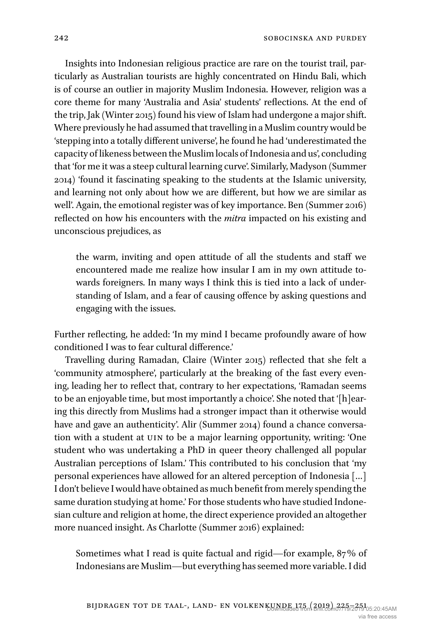Insights into Indonesian religious practice are rare on the tourist trail, particularly as Australian tourists are highly concentrated on Hindu Bali, which is of course an outlier in majority Muslim Indonesia. However, religion was a core theme for many 'Australia and Asia' students' reflections. At the end of the trip, Jak (Winter 2015) found his view of Islam had undergone a major shift. Where previously he had assumed that travelling in a Muslim country would be 'stepping into a totally different universe', he found he had 'underestimated the capacity of likeness between the Muslim locals of Indonesia and us', concluding that 'for me it was a steep cultural learning curve'. Similarly, Madyson (Summer 2014) 'found it fascinating speaking to the students at the Islamic university, and learning not only about how we are different, but how we are similar as well'. Again, the emotional register was of key importance. Ben (Summer 2016) reflected on how his encounters with the *mitra* impacted on his existing and unconscious prejudices, as

the warm, inviting and open attitude of all the students and staff we encountered made me realize how insular I am in my own attitude towards foreigners. In many ways I think this is tied into a lack of understanding of Islam, and a fear of causing offence by asking questions and engaging with the issues.

Further reflecting, he added: 'In my mind I became profoundly aware of how conditioned I was to fear cultural difference.'

Travelling during Ramadan, Claire (Winter 2015) reflected that she felt a 'community atmosphere', particularly at the breaking of the fast every evening, leading her to reflect that, contrary to her expectations, 'Ramadan seems to be an enjoyable time, but most importantly a choice'. She noted that '[h]earing this directly from Muslims had a stronger impact than it otherwise would have and gave an authenticity'. Alir (Summer 2014) found a chance conversation with a student at UIN to be a major learning opportunity, writing: 'One student who was undertaking a PhD in queer theory challenged all popular Australian perceptions of Islam.' This contributed to his conclusion that 'my personal experiences have allowed for an altered perception of Indonesia […] I don't believe I would have obtained as much benefit from merely spending the same duration studying at home.' For those students who have studied Indonesian culture and religion at home, the direct experience provided an altogether more nuanced insight. As Charlotte (Summer 2016) explained:

Sometimes what I read is quite factual and rigid—for example, 87% of Indonesians are Muslim—but everything has seemed more variable.I did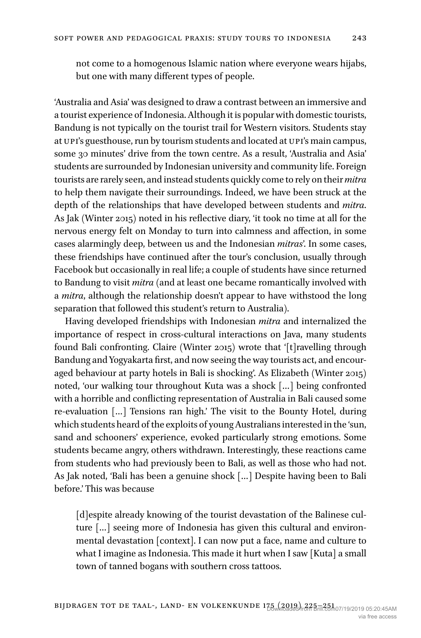not come to a homogenous Islamic nation where everyone wears hijabs, but one with many different types of people.

'Australia and Asia' was designed to draw a contrast between an immersive and a tourist experience of Indonesia. Although it is popular with domestic tourists, Bandung is not typically on the tourist trail for Western visitors. Students stay at UPI's guesthouse, run by tourism students and located at UPI's main campus, some 30 minutes' drive from the town centre. As a result, 'Australia and Asia' students are surrounded by Indonesian university and community life. Foreign tourists are rarely seen, and instead students quickly come to rely on their*mitra* to help them navigate their surroundings. Indeed, we have been struck at the depth of the relationships that have developed between students and *mitra*. As Jak (Winter 2015) noted in his reflective diary, 'it took no time at all for the nervous energy felt on Monday to turn into calmness and affection, in some cases alarmingly deep, between us and the Indonesian *mitras*'. In some cases, these friendships have continued after the tour's conclusion, usually through Facebook but occasionally in real life; a couple of students have since returned to Bandung to visit *mitra* (and at least one became romantically involved with a *mitra*, although the relationship doesn't appear to have withstood the long separation that followed this student's return to Australia).

Having developed friendships with Indonesian *mitra* and internalized the importance of respect in cross-cultural interactions on Java, many students found Bali confronting. Claire (Winter 2015) wrote that '[t]ravelling through Bandung and Yogyakarta first, and now seeing the way tourists act, and encouraged behaviour at party hotels in Bali is shocking'. As Elizabeth (Winter 2015) noted, 'our walking tour throughout Kuta was a shock […] being confronted with a horrible and conflicting representation of Australia in Bali caused some re-evaluation […] Tensions ran high.' The visit to the Bounty Hotel, during which students heard of the exploits of young Australians interested in the 'sun, sand and schooners' experience, evoked particularly strong emotions. Some students became angry, others withdrawn. Interestingly, these reactions came from students who had previously been to Bali, as well as those who had not. As Jak noted, 'Bali has been a genuine shock […] Despite having been to Bali before.' This was because

[d]espite already knowing of the tourist devastation of the Balinese culture […] seeing more of Indonesia has given this cultural and environmental devastation [context]. I can now put a face, name and culture to what I imagine as Indonesia. This made it hurt when I saw [Kuta] a small town of tanned bogans with southern cross tattoos.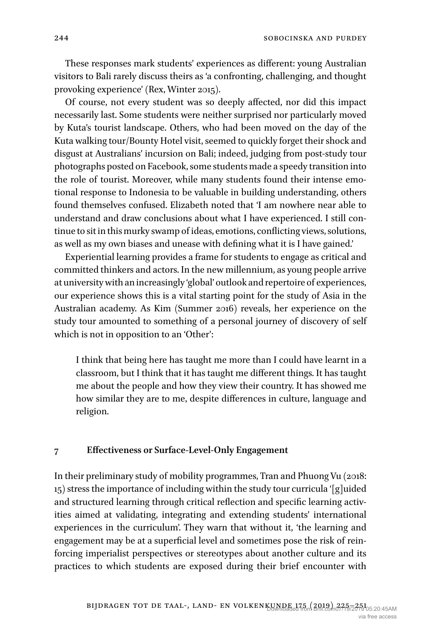244 SOBOCINSKA AND PURDEY

These responses mark students' experiences as different: young Australian visitors to Bali rarely discuss theirs as 'a confronting, challenging, and thought provoking experience' (Rex, Winter 2015).

Of course, not every student was so deeply affected, nor did this impact necessarily last. Some students were neither surprised nor particularly moved by Kuta's tourist landscape. Others, who had been moved on the day of the Kuta walking tour/Bounty Hotel visit, seemed to quickly forget their shock and disgust at Australians' incursion on Bali; indeed, judging from post-study tour photographs posted on Facebook, some students made a speedy transition into the role of tourist. Moreover, while many students found their intense emotional response to Indonesia to be valuable in building understanding, others found themselves confused. Elizabeth noted that 'I am nowhere near able to understand and draw conclusions about what I have experienced. I still continue to sit in this murky swamp of ideas, emotions, conflicting views, solutions, as well as my own biases and unease with defining what it is I have gained.'

Experiential learning provides a frame for students to engage as critical and committed thinkers and actors. In the new millennium, as young people arrive at universitywith an increasingly 'global' outlook and repertoire of experiences, our experience shows this is a vital starting point for the study of Asia in the Australian academy. As Kim (Summer 2016) reveals, her experience on the study tour amounted to something of a personal journey of discovery of self which is not in opposition to an 'Other':

I think that being here has taught me more than I could have learnt in a classroom, but I think that it has taught me different things. It has taught me about the people and how they view their country. It has showed me how similar they are to me, despite differences in culture, language and religion.

# **7 Effectiveness or Surface-Level-Only Engagement**

In their preliminary study of mobility programmes, Tran and Phuong Vu (2018: 15) stress the importance of including within the study tour curricula '[g]uided and structured learning through critical reflection and specific learning activities aimed at validating, integrating and extending students' international experiences in the curriculum'. They warn that without it, 'the learning and engagement may be at a superficial level and sometimes pose the risk of reinforcing imperialist perspectives or stereotypes about another culture and its practices to which students are exposed during their brief encounter with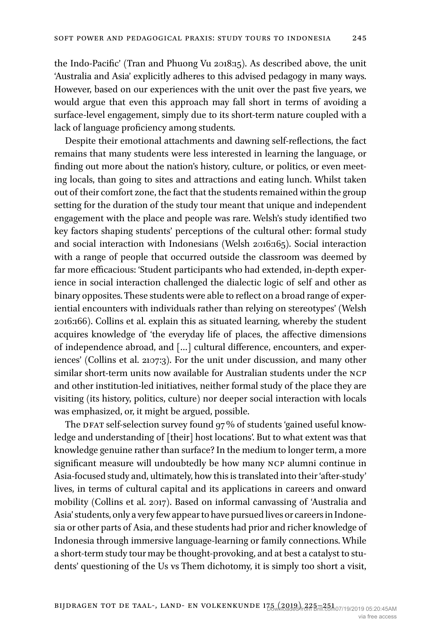the Indo-Pacific' (Tran and Phuong Vu 2018:15). As described above, the unit 'Australia and Asia' explicitly adheres to this advised pedagogy in many ways. However, based on our experiences with the unit over the past five years, we would argue that even this approach may fall short in terms of avoiding a surface-level engagement, simply due to its short-term nature coupled with a lack of language proficiency among students.

Despite their emotional attachments and dawning self-reflections, the fact remains that many students were less interested in learning the language, or finding out more about the nation's history, culture, or politics, or even meeting locals, than going to sites and attractions and eating lunch. Whilst taken out of their comfort zone, the fact that the students remained within the group setting for the duration of the study tour meant that unique and independent engagement with the place and people was rare. Welsh's study identified two key factors shaping students' perceptions of the cultural other: formal study and social interaction with Indonesians (Welsh 2016:165). Social interaction with a range of people that occurred outside the classroom was deemed by far more efficacious: 'Student participants who had extended, in-depth experience in social interaction challenged the dialectic logic of self and other as binary opposites. These students were able to reflect on a broad range of experiential encounters with individuals rather than relying on stereotypes' (Welsh 2016:166). Collins et al. explain this as situated learning, whereby the student acquires knowledge of 'the everyday life of places, the affective dimensions of independence abroad, and […] cultural difference, encounters, and experiences' (Collins et al. 2107:3). For the unit under discussion, and many other similar short-term units now available for Australian students under the NCP and other institution-led initiatives, neither formal study of the place they are visiting (its history, politics, culture) nor deeper social interaction with locals was emphasized, or, it might be argued, possible.

The DFAT self-selection survey found 97% of students 'gained useful knowledge and understanding of [their] host locations'. But to what extent was that knowledge genuine rather than surface? In the medium to longer term, a more significant measure will undoubtedly be how many NCP alumni continue in Asia-focused study and, ultimately, how this is translated into their 'after-study' lives, in terms of cultural capital and its applications in careers and onward mobility (Collins et al. 2017). Based on informal canvassing of 'Australia and Asia' students, only a very few appear to have pursued lives or careers in Indonesia or other parts of Asia, and these students had prior and richer knowledge of Indonesia through immersive language-learning or family connections. While a short-term study tour may be thought-provoking, and at best a catalyst to students' questioning of the Us vs Them dichotomy, it is simply too short a visit,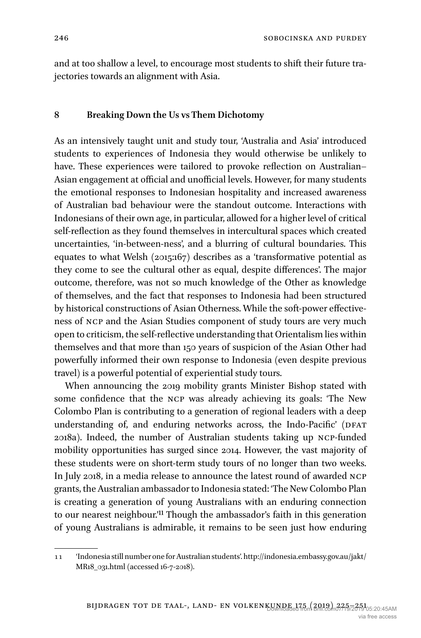and at too shallow a level, to encourage most students to shift their future trajectories towards an alignment with Asia.

# **8 Breaking Down the Us vs Them Dichotomy**

As an intensively taught unit and study tour, 'Australia and Asia' introduced students to experiences of Indonesia they would otherwise be unlikely to have. These experiences were tailored to provoke reflection on Australian– Asian engagement at official and unofficial levels. However, for many students the emotional responses to Indonesian hospitality and increased awareness of Australian bad behaviour were the standout outcome. Interactions with Indonesians of their own age, in particular, allowed for a higher level of critical self-reflection as they found themselves in intercultural spaces which created uncertainties, 'in-between-ness', and a blurring of cultural boundaries. This equates to what Welsh (2015:167) describes as a 'transformative potential as they come to see the cultural other as equal, despite differences'. The major outcome, therefore, was not so much knowledge of the Other as knowledge of themselves, and the fact that responses to Indonesia had been structured by historical constructions of Asian Otherness. While the soft-power effectiveness of NCP and the Asian Studies component of study tours are very much open to criticism, the self-reflective understanding that Orientalism lies within themselves and that more than 150 years of suspicion of the Asian Other had powerfully informed their own response to Indonesia (even despite previous travel) is a powerful potential of experiential study tours.

When announcing the 2019 mobility grants Minister Bishop stated with some confidence that the NCP was already achieving its goals: 'The New Colombo Plan is contributing to a generation of regional leaders with a deep understanding of, and enduring networks across, the Indo-Pacific' (DFAT 2018a). Indeed, the number of Australian students taking up NCP-funded mobility opportunities has surged since 2014. However, the vast majority of these students were on short-term study tours of no longer than two weeks. In July 2018, in a media release to announce the latest round of awarded NCP grants, the Australian ambassador to Indonesia stated: 'The New Colombo Plan is creating a generation of young Australians with an enduring connection to our nearest neighbour.'11 Though the ambassador's faith in this generation of young Australians is admirable, it remains to be seen just how enduring

<sup>11</sup> 'Indonesia still number one for Australian students'. [http://indonesia.embassy.gov.au/jakt/](http://indonesia.embassy.gov.au/jakt/MR18_031.html) [MR18\\_031.html](http://indonesia.embassy.gov.au/jakt/MR18_031.html) (accessed 16-7-2018).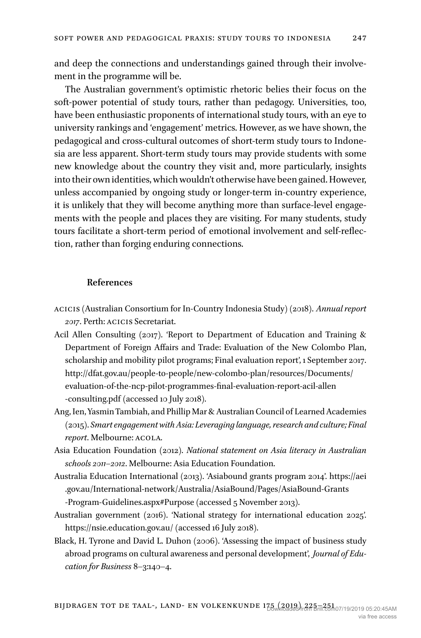and deep the connections and understandings gained through their involvement in the programme will be.

The Australian government's optimistic rhetoric belies their focus on the soft-power potential of study tours, rather than pedagogy. Universities, too, have been enthusiastic proponents of international study tours, with an eye to university rankings and 'engagement' metrics. However, as we have shown, the pedagogical and cross-cultural outcomes of short-term study tours to Indonesia are less apparent. Short-term study tours may provide students with some new knowledge about the country they visit and, more particularly, insights into their own identities, which wouldn't otherwise have been gained. However, unless accompanied by ongoing study or longer-term in-country experience, it is unlikely that they will become anything more than surface-level engagements with the people and places they are visiting. For many students, study tours facilitate a short-term period of emotional involvement and self-reflection, rather than forging enduring connections.

# **References**

- ACICIS(Australian Consortium for In-Country Indonesia Study) (2018). *Annual report 2017*. Perth: ACICIS Secretariat.
- Acil Allen Consulting (2017). 'Report to Department of Education and Training & Department of Foreign Affairs and Trade: Evaluation of the New Colombo Plan, scholarship and mobility pilot programs; Final evaluation report', 1 September 2017. [http://dfat.gov.au/people‑to‑people/new‑colombo‑plan/resources/Documents/](http://dfat.gov.au/people-to-people/new-colombo-plan/resources/Documents/evaluation-of-the-ncp-pilot-programmes-final-evaluation-report-acil-allen-consulting.pdf) evaluation-of-the-ncp-pilot-programmes-final-evaluation-report-acil-allen [‑consulting.pdf](http://dfat.gov.au/people-to-people/new-colombo-plan/resources/Documents/evaluation-of-the-ncp-pilot-programmes-final-evaluation-report-acil-allen-consulting.pdf) (accessed 10 July 2018).
- Ang, Ien, Yasmin Tambiah, and Phillip Mar & Australian Council of Learned Academies (2015). *Smart engagement with Asia: Leveraging language, research and culture; Final report*. Melbourne: ACOLA.
- Asia Education Foundation (2012). *National statement on Asia literacy in Australian schools 2011–2012*. Melbourne: Asia Education Foundation.
- Australia Education International (2013). 'Asiabound grants program 2014'. [https://aei](https://aei.gov.au/International-network/Australia/AsiaBound/Pages/AsiaBound-Grants-Program-Guidelines.aspx#Purpose) [.gov.au/International‑network/Australia/AsiaBound/Pages/AsiaBound‑Grants](https://aei.gov.au/International-network/Australia/AsiaBound/Pages/AsiaBound-Grants-Program-Guidelines.aspx#Purpose) [‑Program‑Guidelines.aspx#Purpose](https://aei.gov.au/International-network/Australia/AsiaBound/Pages/AsiaBound-Grants-Program-Guidelines.aspx#Purpose) (accessed 5 November 2013).
- Australian government (2016). 'National strategy for international education 2025'. <https://nsie.education.gov.au/> (accessed 16 July 2018).
- Black, H. Tyrone and David L. Duhon (2006). 'Assessing the impact of business study abroad programs on cultural awareness and personal development', *Journal of Education for Business* 8–3:140–4.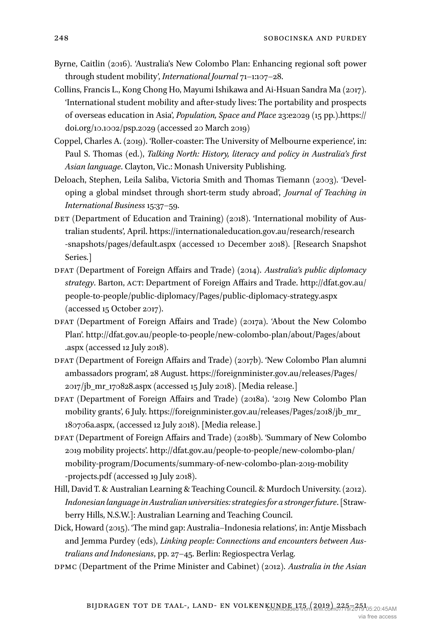- Byrne, Caitlin (2016). 'Australia's New Colombo Plan: Enhancing regional soft power through student mobility', *International Journal* 71–1:107–28.
- Collins, Francis L., Kong Chong Ho, Mayumi Ishikawa and Ai-Hsuan Sandra Ma (2017). 'International student mobility and after-study lives: The portability and prospects of overseas education in Asia', *Population, Space and Place* 23:e2029 (15 pp.)[.https://](https://doi.org/10.1002/psp.2029) [doi.org/10.1002/psp.2029](https://doi.org/10.1002/psp.2029) (accessed 20 March 2019)
- Coppel, Charles A. (2019). 'Roller-coaster: The University of Melbourne experience', in: Paul S. Thomas (ed.), *Talking North: History, literacy and policy in Australia's first Asian language*. Clayton, Vic.: Monash University Publishing.
- Deloach, Stephen, Leila Saliba, Victoria Smith and Thomas Tiemann (2003). 'Developing a global mindset through short-term study abroad', *Journal of Teaching in International Business* 15:37–59.
- DET (Department of Education and Training) (2018). 'International mobility of Australian students', April. [https://internationaleducation.gov.au/research/research](https://internationaleducation.gov.au/research/research-snapshots/pages/default.aspx) [‑snapshots/pages/default.aspx](https://internationaleducation.gov.au/research/research-snapshots/pages/default.aspx) (accessed 10 December 2018). [Research Snapshot Series.]
- DFAT (Department of Foreign Affairs and Trade) (2014). *Australia's public diplomacy strategy*. Barton, ACT: Department of Foreign Affairs and Trade. [http://dfat.gov.au/](http://dfat.gov.au/people-to-people/public-diplomacy/Pages/public-diplomacy-strategy.aspx) [people‑to‑people/public‑diplomacy/Pages/public‑diplomacy‑strategy.aspx](http://dfat.gov.au/people-to-people/public-diplomacy/Pages/public-diplomacy-strategy.aspx) (accessed 15 October 2017).
- DFAT (Department of Foreign Affairs and Trade) (2017a). 'About the New Colombo Plan'. [http://dfat.gov.au/people‑to‑people/new‑colombo‑plan/about/Pages/about](http://dfat.gov.au/people-to-people/new-colombo-plan/about/Pages/about.aspx) [.aspx](http://dfat.gov.au/people-to-people/new-colombo-plan/about/Pages/about.aspx) (accessed 12 July 2018).
- DFAT (Department of Foreign Affairs and Trade) (2017b). 'New Colombo Plan alumni ambassadors program', 28 August. [https://foreignminister.gov.au/releases/Pages/](https://foreignminister.gov.au/releases/Pages/2017/jb_mr_170828.aspx) [2017/jb\\_mr\\_170828.aspx](https://foreignminister.gov.au/releases/Pages/2017/jb_mr_170828.aspx) (accessed 15 July 2018). [Media release.]
- DFAT (Department of Foreign Affairs and Trade) (2018a). '2019 New Colombo Plan mobility grants', 6 July. [https://foreignminister.gov.au/releases/Pages/2018/jb\\_mr\\_](https://foreignminister.gov.au/releases/Pages/2018/jb_mr_180706a.aspx) [180706a.aspx,](https://foreignminister.gov.au/releases/Pages/2018/jb_mr_180706a.aspx) (accessed 12 July 2018). [Media release.]
- DFAT (Department of Foreign Affairs and Trade) (2018b). 'Summary of New Colombo 2019 mobility projects'. [http://dfat.gov.au/people‑to‑people/new‑colombo‑plan/](http://dfat.gov.au/people-to-people/new-colombo-plan/mobility-program/Documents/summary-of-new-colombo-plan-2019-mobility-projects.pdf) [mobility‑program/Documents/summary‑of‑new‑colombo‑plan‑2019‑mobility](http://dfat.gov.au/people-to-people/new-colombo-plan/mobility-program/Documents/summary-of-new-colombo-plan-2019-mobility-projects.pdf) [‑projects.pdf](http://dfat.gov.au/people-to-people/new-colombo-plan/mobility-program/Documents/summary-of-new-colombo-plan-2019-mobility-projects.pdf) (accessed 19 July 2018).
- Hill, David T. & Australian Learning & Teaching Council. & Murdoch University. (2012). *Indonesian language in Australian universities: strategiesfor a strongerfuture*. [Strawberry Hills, N.S.W.]: Australian Learning and Teaching Council.
- Dick, Howard (2015). 'The mind gap: Australia–Indonesia relations', in: Antje Missbach and Jemma Purdey (eds), *Linking people: Connections and encounters between Australians and Indonesians*, pp. 27–45. Berlin: Regiospectra Verlag.
- DPMC (Department of the Prime Minister and Cabinet) (2012). *Australia in the Asian*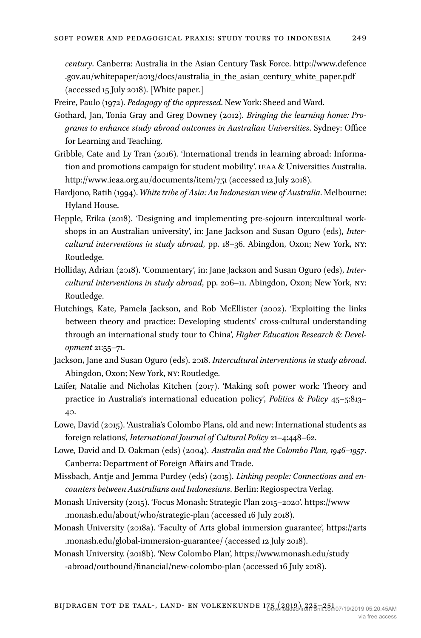*century*. Canberra: Australia in the Asian Century Task Force. [http://www.defence](http://www.defence.gov.au/whitepaper/2013/docs/australia_in_the_asian_century_white_paper.pdf) [.gov.au/whitepaper/2013/docs/australia\\_in\\_the\\_asian\\_century\\_white\\_paper.pdf](http://www.defence.gov.au/whitepaper/2013/docs/australia_in_the_asian_century_white_paper.pdf) (accessed 15 July 2018). [White paper.]

Freire, Paulo (1972). *Pedagogy of the oppressed*. New York: Sheed and Ward.

- Gothard, Jan, Tonia Gray and Greg Downey (2012). *Bringing the learning home: Programs to enhance study abroad outcomes in Australian Universities*. Sydney: Office for Learning and Teaching.
- Gribble, Cate and Ly Tran (2016). 'International trends in learning abroad: Information and promotions campaign for student mobility'. IEAA & Universities Australia. <http://www.ieaa.org.au/documents/item/751> (accessed 12 July 2018).
- Hardjono, Ratih (1994). *White tribe of Asia: An Indonesian view of Australia*. Melbourne: Hyland House.
- Hepple, Erika (2018). 'Designing and implementing pre-sojourn intercultural workshops in an Australian university', in: Jane Jackson and Susan Oguro (eds), *Intercultural interventions in study abroad*, pp. 18–36. Abingdon, Oxon; New York, NY: Routledge.
- Holliday, Adrian (2018). 'Commentary', in: Jane Jackson and Susan Oguro (eds), *Intercultural interventions in study abroad*, pp. 206–11. Abingdon, Oxon; New York, NY: Routledge.
- Hutchings, Kate, Pamela Jackson, and Rob McEllister (2002). 'Exploiting the links between theory and practice: Developing students' cross-cultural understanding through an international study tour to China', *Higher Education Research & Development* 21:55–71.
- Jackson, Jane and Susan Oguro (eds). 2018. *Intercultural interventions in study abroad*. Abingdon, Oxon; New York, NY: Routledge.
- Laifer, Natalie and Nicholas Kitchen (2017). 'Making soft power work: Theory and practice in Australia's international education policy', *Politics & Policy* 45–5:813– 40.
- Lowe, David (2015). 'Australia's Colombo Plans, old and new: International students as foreign relations', *International Journal of Cultural Policy* 21–4:448–62.
- Lowe, David and D. Oakman (eds) (2004). *Australia and the Colombo Plan, 1946–1957*. Canberra: Department of Foreign Affairs and Trade.
- Missbach, Antje and Jemma Purdey (eds) (2015). *Linking people: Connections and encounters between Australians and Indonesians*. Berlin: Regiospectra Verlag.
- Monash University (2015). 'Focus Monash: Strategic Plan 2015–2020'. [https://www](https://www.monash.edu/about/who/strategic-plan) [.monash.edu/about/who/strategic‑plan](https://www.monash.edu/about/who/strategic-plan) (accessed 16 July 2018).
- Monash University (2018a). 'Faculty of Arts global immersion guarantee', [https://arts](https://arts.monash.edu/global-immersion-guarantee/) [.monash.edu/global‑immersion‑guarantee/](https://arts.monash.edu/global-immersion-guarantee/) (accessed 12 July 2018).

Monash University. (2018b). 'New Colombo Plan', [https://www.monash.edu/study](https://www.monash.edu/study-abroad/outbound/financial/new-colombo-plan) [‑abroad/outbound/financial/new‑colombo‑plan](https://www.monash.edu/study-abroad/outbound/financial/new-colombo-plan) (accessed 16 July 2018).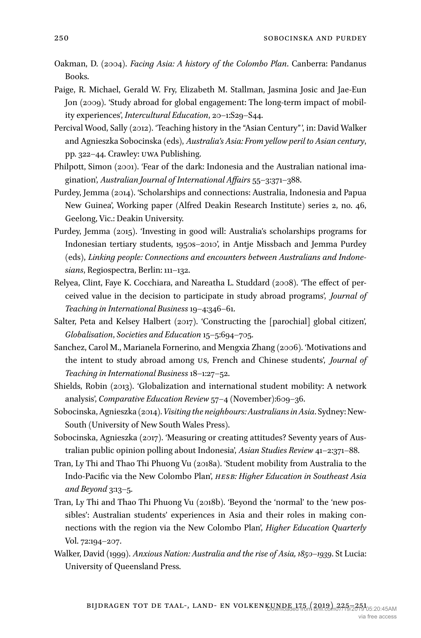- Oakman, D. (2004). *Facing Asia: A history of the Colombo Plan*. Canberra: Pandanus Books.
- Paige, R. Michael, Gerald W. Fry, Elizabeth M. Stallman, Jasmina Josic and Jae-Eun Jon (2009). 'Study abroad for global engagement: The long-term impact of mobility experiences', *Intercultural Education*, 20–1:S29–S44.
- Percival Wood, Sally (2012). 'Teaching history in the "Asian Century"', in: David Walker and Agnieszka Sobocinska (eds), *Australia's Asia: From yellow peril to Asian century*, pp. 322–44. Crawley: UWA Publishing.
- Philpott, Simon (2001). 'Fear of the dark: Indonesia and the Australian national imagination', *Australian Journal of International Affairs* 55–3:371–388.
- Purdey, Jemma (2014). 'Scholarships and connections: Australia, Indonesia and Papua New Guinea', Working paper (Alfred Deakin Research Institute) series 2, no. 46, Geelong, Vic.: Deakin University.
- Purdey, Jemma (2015). 'Investing in good will: Australia's scholarships programs for Indonesian tertiary students, 1950s–2010', in Antje Missbach and Jemma Purdey (eds), *Linking people: Connections and encounters between Australians and Indonesians*, Regiospectra, Berlin: 111–132.
- Relyea, Clint, Faye K. Cocchiara, and Nareatha L. Studdard (2008). 'The effect of perceived value in the decision to participate in study abroad programs', *Journal of Teaching in International Business* 19–4:346–61.
- Salter, Peta and Kelsey Halbert (2017). 'Constructing the [parochial] global citizen', *Globalisation*, *Societies and Education* 15–5:694–705.
- Sanchez, Carol M., Marianela Fornerino, and Mengxia Zhang (2006). 'Motivations and the intent to study abroad among US, French and Chinese students', *Journal of Teaching in International Business* 18–1:27–52.
- Shields, Robin (2013). 'Globalization and international student mobility: A network analysis', *Comparative Education Review* 57–4 (November):609–36.
- Sobocinska, Agnieszka (2014).*Visitingthe neighbours: Australians in Asia*. Sydney: New-South (University of New South Wales Press).
- Sobocinska, Agnieszka (2017). 'Measuring or creating attitudes? Seventy years of Australian public opinion polling about Indonesia', *Asian Studies Review* 41–2:371–88.
- Tran, Ly Thi and Thao Thi Phuong Vu (2018a). 'Student mobility from Australia to the Indo-Pacific via the New Colombo Plan', *HESB: Higher Education in Southeast Asia and Beyond* 3:13–5.
- Tran, Ly Thi and Thao Thi Phuong Vu (2018b). 'Beyond the 'normal' to the 'new possibles': Australian students' experiences in Asia and their roles in making connections with the region via the New Colombo Plan', *Higher Education Quarterly* Vol. 72:194–207.
- Walker, David (1999). *Anxious Nation: Australia and the rise of Asia, 1850–1939*. St Lucia: University of Queensland Press.